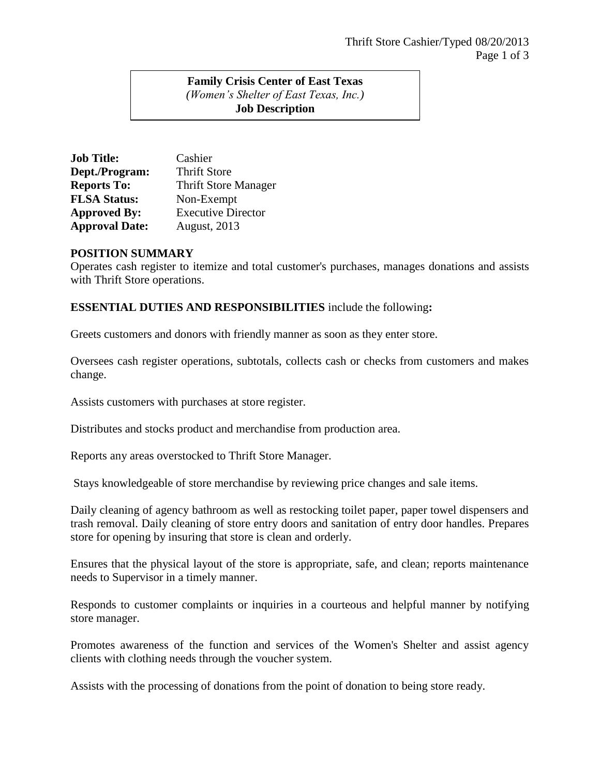## **Family Crisis Center of East Texas** *(Women's Shelter of East Texas, Inc.)* **Job Description**

| <b>Job Title:</b>     | Cashier                     |
|-----------------------|-----------------------------|
| Dept./Program:        | <b>Thrift Store</b>         |
| <b>Reports To:</b>    | <b>Thrift Store Manager</b> |
| <b>FLSA Status:</b>   | Non-Exempt                  |
| <b>Approved By:</b>   | <b>Executive Director</b>   |
| <b>Approval Date:</b> | <b>August, 2013</b>         |

## **POSITION SUMMARY**

Operates cash register to itemize and total customer's purchases, manages donations and assists with Thrift Store operations.

## **ESSENTIAL DUTIES AND RESPONSIBILITIES** include the following**:**

Greets customers and donors with friendly manner as soon as they enter store.

Oversees cash register operations, subtotals, collects cash or checks from customers and makes change.

Assists customers with purchases at store register.

Distributes and stocks product and merchandise from production area.

Reports any areas overstocked to Thrift Store Manager.

Stays knowledgeable of store merchandise by reviewing price changes and sale items.

Daily cleaning of agency bathroom as well as restocking toilet paper, paper towel dispensers and trash removal. Daily cleaning of store entry doors and sanitation of entry door handles. Prepares store for opening by insuring that store is clean and orderly.

Ensures that the physical layout of the store is appropriate, safe, and clean; reports maintenance needs to Supervisor in a timely manner.

Responds to customer complaints or inquiries in a courteous and helpful manner by notifying store manager.

Promotes awareness of the function and services of the Women's Shelter and assist agency clients with clothing needs through the voucher system.

Assists with the processing of donations from the point of donation to being store ready.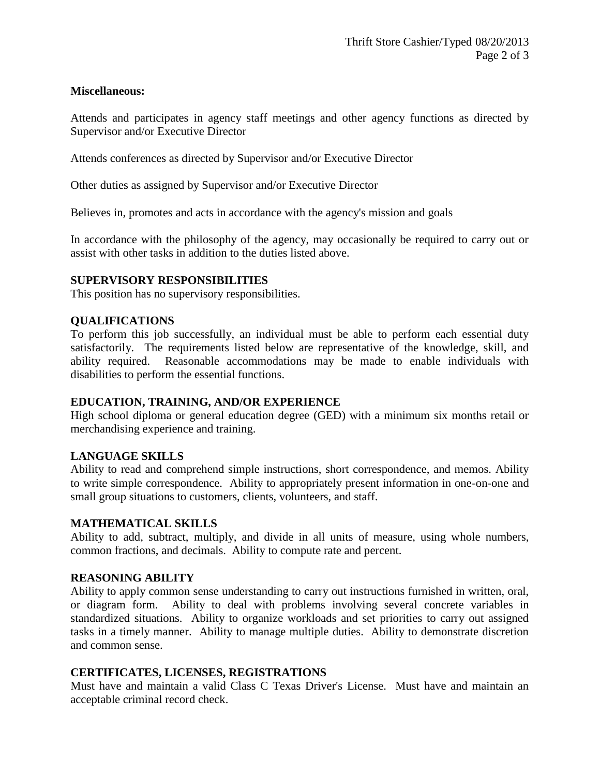## **Miscellaneous:**

Attends and participates in agency staff meetings and other agency functions as directed by Supervisor and/or Executive Director

Attends conferences as directed by Supervisor and/or Executive Director

Other duties as assigned by Supervisor and/or Executive Director

Believes in, promotes and acts in accordance with the agency's mission and goals

In accordance with the philosophy of the agency, may occasionally be required to carry out or assist with other tasks in addition to the duties listed above.

#### **SUPERVISORY RESPONSIBILITIES**

This position has no supervisory responsibilities.

## **QUALIFICATIONS**

To perform this job successfully, an individual must be able to perform each essential duty satisfactorily. The requirements listed below are representative of the knowledge, skill, and ability required. Reasonable accommodations may be made to enable individuals with disabilities to perform the essential functions.

#### **EDUCATION, TRAINING, AND/OR EXPERIENCE**

High school diploma or general education degree (GED) with a minimum six months retail or merchandising experience and training.

#### **LANGUAGE SKILLS**

Ability to read and comprehend simple instructions, short correspondence, and memos. Ability to write simple correspondence. Ability to appropriately present information in one-on-one and small group situations to customers, clients, volunteers, and staff.

#### **MATHEMATICAL SKILLS**

Ability to add, subtract, multiply, and divide in all units of measure, using whole numbers, common fractions, and decimals. Ability to compute rate and percent.

#### **REASONING ABILITY**

Ability to apply common sense understanding to carry out instructions furnished in written, oral, or diagram form. Ability to deal with problems involving several concrete variables in standardized situations. Ability to organize workloads and set priorities to carry out assigned tasks in a timely manner. Ability to manage multiple duties. Ability to demonstrate discretion and common sense.

#### **CERTIFICATES, LICENSES, REGISTRATIONS**

Must have and maintain a valid Class C Texas Driver's License. Must have and maintain an acceptable criminal record check.